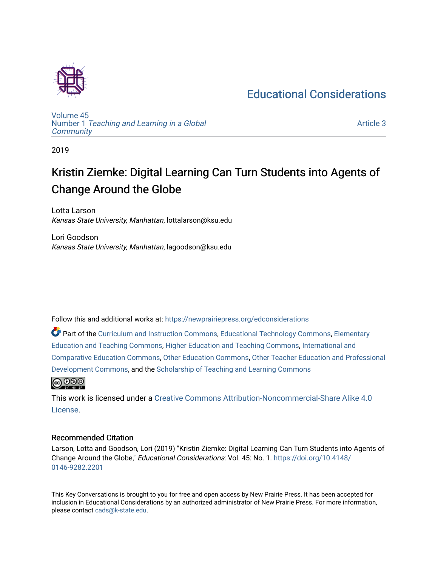### [Educational Considerations](https://newprairiepress.org/edconsiderations)



[Volume 45](https://newprairiepress.org/edconsiderations/vol45) Number 1 [Teaching and Learning in a Global](https://newprairiepress.org/edconsiderations/vol45/iss1)  **[Community](https://newprairiepress.org/edconsiderations/vol45/iss1)** 

[Article 3](https://newprairiepress.org/edconsiderations/vol45/iss1/3) 

2019

# Kristin Ziemke: Digital Learning Can Turn Students into Agents of Change Around the Globe

Lotta Larson Kansas State University, Manhattan, lottalarson@ksu.edu

Lori Goodson Kansas State University, Manhattan, lagoodson@ksu.edu

Follow this and additional works at: [https://newprairiepress.org/edconsiderations](https://newprairiepress.org/edconsiderations?utm_source=newprairiepress.org%2Fedconsiderations%2Fvol45%2Fiss1%2F3&utm_medium=PDF&utm_campaign=PDFCoverPages) 

Part of the [Curriculum and Instruction Commons,](http://network.bepress.com/hgg/discipline/786?utm_source=newprairiepress.org%2Fedconsiderations%2Fvol45%2Fiss1%2F3&utm_medium=PDF&utm_campaign=PDFCoverPages) [Educational Technology Commons,](http://network.bepress.com/hgg/discipline/1415?utm_source=newprairiepress.org%2Fedconsiderations%2Fvol45%2Fiss1%2F3&utm_medium=PDF&utm_campaign=PDFCoverPages) [Elementary](http://network.bepress.com/hgg/discipline/805?utm_source=newprairiepress.org%2Fedconsiderations%2Fvol45%2Fiss1%2F3&utm_medium=PDF&utm_campaign=PDFCoverPages) [Education and Teaching Commons,](http://network.bepress.com/hgg/discipline/805?utm_source=newprairiepress.org%2Fedconsiderations%2Fvol45%2Fiss1%2F3&utm_medium=PDF&utm_campaign=PDFCoverPages) [Higher Education and Teaching Commons](http://network.bepress.com/hgg/discipline/806?utm_source=newprairiepress.org%2Fedconsiderations%2Fvol45%2Fiss1%2F3&utm_medium=PDF&utm_campaign=PDFCoverPages), [International and](http://network.bepress.com/hgg/discipline/797?utm_source=newprairiepress.org%2Fedconsiderations%2Fvol45%2Fiss1%2F3&utm_medium=PDF&utm_campaign=PDFCoverPages)  [Comparative Education Commons,](http://network.bepress.com/hgg/discipline/797?utm_source=newprairiepress.org%2Fedconsiderations%2Fvol45%2Fiss1%2F3&utm_medium=PDF&utm_campaign=PDFCoverPages) [Other Education Commons,](http://network.bepress.com/hgg/discipline/811?utm_source=newprairiepress.org%2Fedconsiderations%2Fvol45%2Fiss1%2F3&utm_medium=PDF&utm_campaign=PDFCoverPages) [Other Teacher Education and Professional](http://network.bepress.com/hgg/discipline/810?utm_source=newprairiepress.org%2Fedconsiderations%2Fvol45%2Fiss1%2F3&utm_medium=PDF&utm_campaign=PDFCoverPages)  [Development Commons](http://network.bepress.com/hgg/discipline/810?utm_source=newprairiepress.org%2Fedconsiderations%2Fvol45%2Fiss1%2F3&utm_medium=PDF&utm_campaign=PDFCoverPages), and the [Scholarship of Teaching and Learning Commons](http://network.bepress.com/hgg/discipline/1328?utm_source=newprairiepress.org%2Fedconsiderations%2Fvol45%2Fiss1%2F3&utm_medium=PDF&utm_campaign=PDFCoverPages) 



This work is licensed under a [Creative Commons Attribution-Noncommercial-Share Alike 4.0](https://creativecommons.org/licenses/by-nc-sa/4.0/) [License.](https://creativecommons.org/licenses/by-nc-sa/4.0/)

#### Recommended Citation

Larson, Lotta and Goodson, Lori (2019) "Kristin Ziemke: Digital Learning Can Turn Students into Agents of Change Around the Globe," Educational Considerations: Vol. 45: No. 1. [https://doi.org/10.4148/](https://doi.org/10.4148/0146-9282.2201) [0146-9282.2201](https://doi.org/10.4148/0146-9282.2201) 

This Key Conversations is brought to you for free and open access by New Prairie Press. It has been accepted for inclusion in Educational Considerations by an authorized administrator of New Prairie Press. For more information, please contact [cads@k-state.edu.](mailto:cads@k-state.edu)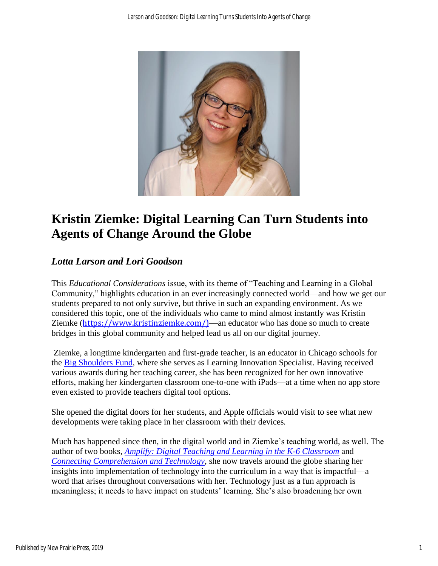

## **Kristin Ziemke: Digital Learning Can Turn Students into Agents of Change Around the Globe**

### *Lotta Larson and Lori Goodson*

This *Educational Considerations* issue, with its theme of "Teaching and Learning in a Global Community," highlights education in an ever increasingly connected world—and how we get our students prepared to not only survive, but thrive in such an expanding environment. As we considered this topic, one of the individuals who came to mind almost instantly was Kristin Ziemke ([https://www.kristinziemke.com/\)](https://www.kristinziemke.com/)—an educator who has done so much to create bridges in this global community and helped lead us all on our digital journey.

Ziemke, a longtime kindergarten and first-grade teacher, is an educator in Chicago schools for the [Big Shoulders Fund,](https://bigshouldersfund.org/) where she serves as Learning Innovation Specialist. Having received various awards during her teaching career, she has been recognized for her own innovative efforts, making her kindergarten classroom one-to-one with iPads—at a time when no app store even existed to provide teachers digital tool options.

She opened the digital doors for her students, and Apple officials would visit to see what new developments were taking place in her classroom with their devices*.*

Much has happened since then, in the digital world and in Ziemke's teaching world, as well. The author of two books, *[Amplify: Digital Teaching and Learning in the K-6 Classroom](https://www.heinemann.com/products/e07473.aspx)* and *[Connecting Comprehension and Technology](https://www.heinemann.com/products/e04703.aspx)*, she now travels around the globe sharing her insights into implementation of technology into the curriculum in a way that is impactful—a word that arises throughout conversations with her. Technology just as a fun approach is meaningless; it needs to have impact on students' learning. She's also broadening her own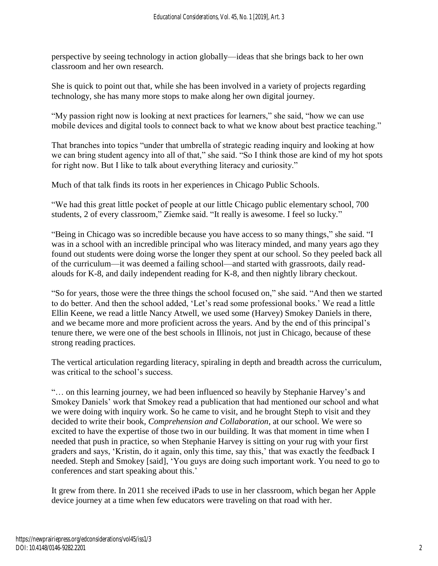perspective by seeing technology in action globally—ideas that she brings back to her own classroom and her own research.

She is quick to point out that, while she has been involved in a variety of projects regarding technology, she has many more stops to make along her own digital journey.

"My passion right now is looking at next practices for learners," she said, "how we can use mobile devices and digital tools to connect back to what we know about best practice teaching."

That branches into topics "under that umbrella of strategic reading inquiry and looking at how we can bring student agency into all of that," she said. "So I think those are kind of my hot spots for right now. But I like to talk about everything literacy and curiosity."

Much of that talk finds its roots in her experiences in Chicago Public Schools.

"We had this great little pocket of people at our little Chicago public elementary school, 700 students, 2 of every classroom," Ziemke said. "It really is awesome. I feel so lucky."

"Being in Chicago was so incredible because you have access to so many things," she said. "I was in a school with an incredible principal who was literacy minded, and many years ago they found out students were doing worse the longer they spent at our school. So they peeled back all of the curriculum—it was deemed a failing school—and started with grassroots, daily readalouds for K-8, and daily independent reading for K-8, and then nightly library checkout.

"So for years, those were the three things the school focused on," she said. "And then we started to do better. And then the school added, 'Let's read some professional books.' We read a little Ellin Keene, we read a little Nancy Atwell, we used some (Harvey) Smokey Daniels in there, and we became more and more proficient across the years. And by the end of this principal's tenure there, we were one of the best schools in Illinois, not just in Chicago, because of these strong reading practices.

The vertical articulation regarding literacy, spiraling in depth and breadth across the curriculum, was critical to the school's success.

"… on this learning journey, we had been influenced so heavily by Stephanie Harvey's and Smokey Daniels' work that Smokey read a publication that had mentioned our school and what we were doing with inquiry work. So he came to visit, and he brought Steph to visit and they decided to write their book, *Comprehension and Collaboration*, at our school. We were so excited to have the expertise of those two in our building. It was that moment in time when I needed that push in practice, so when Stephanie Harvey is sitting on your rug with your first graders and says, 'Kristin, do it again, only this time, say this,' that was exactly the feedback I needed. Steph and Smokey [said], 'You guys are doing such important work. You need to go to conferences and start speaking about this.'

It grew from there. In 2011 she received iPads to use in her classroom, which began her Apple device journey at a time when few educators were traveling on that road with her.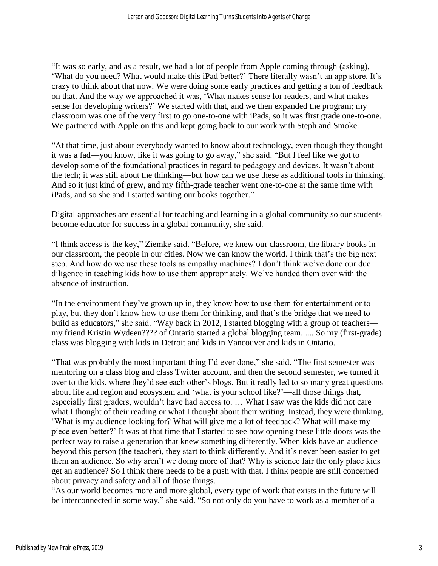"It was so early, and as a result, we had a lot of people from Apple coming through (asking), 'What do you need? What would make this iPad better?' There literally wasn't an app store. It's crazy to think about that now. We were doing some early practices and getting a ton of feedback on that. And the way we approached it was, 'What makes sense for readers, and what makes sense for developing writers?' We started with that, and we then expanded the program; my classroom was one of the very first to go one-to-one with iPads, so it was first grade one-to-one. We partnered with Apple on this and kept going back to our work with Steph and Smoke.

"At that time, just about everybody wanted to know about technology, even though they thought it was a fad—you know, like it was going to go away," she said. "But I feel like we got to develop some of the foundational practices in regard to pedagogy and devices. It wasn't about the tech; it was still about the thinking—but how can we use these as additional tools in thinking. And so it just kind of grew, and my fifth-grade teacher went one-to-one at the same time with iPads, and so she and I started writing our books together."

Digital approaches are essential for teaching and learning in a global community so our students become educator for success in a global community, she said.

"I think access is the key," Ziemke said. "Before, we knew our classroom, the library books in our classroom, the people in our cities. Now we can know the world. I think that's the big next step. And how do we use these tools as empathy machines? I don't think we've done our due diligence in teaching kids how to use them appropriately. We've handed them over with the absence of instruction.

"In the environment they've grown up in, they know how to use them for entertainment or to play, but they don't know how to use them for thinking, and that's the bridge that we need to build as educators," she said. "Way back in 2012, I started blogging with a group of teachers my friend Kristin Wydeen???? of Ontario started a global blogging team. .... So my (first-grade) class was blogging with kids in Detroit and kids in Vancouver and kids in Ontario.

"That was probably the most important thing I'd ever done," she said. "The first semester was mentoring on a class blog and class Twitter account, and then the second semester, we turned it over to the kids, where they'd see each other's blogs. But it really led to so many great questions about life and region and ecosystem and 'what is your school like?'—all those things that, especially first graders, wouldn't have had access to. … What I saw was the kids did not care what I thought of their reading or what I thought about their writing. Instead, they were thinking, 'What is my audience looking for? What will give me a lot of feedback? What will make my piece even better?' It was at that time that I started to see how opening these little doors was the perfect way to raise a generation that knew something differently. When kids have an audience beyond this person (the teacher), they start to think differently. And it's never been easier to get them an audience. So why aren't we doing more of that? Why is science fair the only place kids get an audience? So I think there needs to be a push with that. I think people are still concerned about privacy and safety and all of those things.

"As our world becomes more and more global, every type of work that exists in the future will be interconnected in some way," she said. "So not only do you have to work as a member of a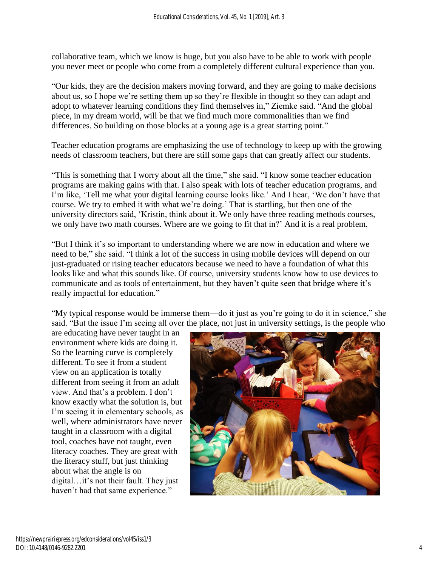collaborative team, which we know is huge, but you also have to be able to work with people you never meet or people who come from a completely different cultural experience than you.

"Our kids, they are the decision makers moving forward, and they are going to make decisions about us, so I hope we're setting them up so they're flexible in thought so they can adapt and adopt to whatever learning conditions they find themselves in," Ziemke said. "And the global piece, in my dream world, will be that we find much more commonalities than we find differences. So building on those blocks at a young age is a great starting point."

Teacher education programs are emphasizing the use of technology to keep up with the growing needs of classroom teachers, but there are still some gaps that can greatly affect our students.

"This is something that I worry about all the time," she said. "I know some teacher education programs are making gains with that. I also speak with lots of teacher education programs, and I'm like, 'Tell me what your digital learning course looks like.' And I hear, 'We don't have that course. We try to embed it with what we're doing.' That is startling, but then one of the university directors said, 'Kristin, think about it. We only have three reading methods courses, we only have two math courses. Where are we going to fit that in?' And it is a real problem.

"But I think it's so important to understanding where we are now in education and where we need to be," she said. "I think a lot of the success in using mobile devices will depend on our just-graduated or rising teacher educators because we need to have a foundation of what this looks like and what this sounds like. Of course, university students know how to use devices to communicate and as tools of entertainment, but they haven't quite seen that bridge where it's really impactful for education."

"My typical response would be immerse them—do it just as you're going to do it in science," she said. "But the issue I'm seeing all over the place, not just in university settings, is the people who

are educating have never taught in an environment where kids are doing it. So the learning curve is completely different. To see it from a student view on an application is totally different from seeing it from an adult view. And that's a problem. I don't know exactly what the solution is, but I'm seeing it in elementary schools, as well, where administrators have never taught in a classroom with a digital tool, coaches have not taught, even literacy coaches. They are great with the literacy stuff, but just thinking about what the angle is on digital…it's not their fault. They just haven't had that same experience."

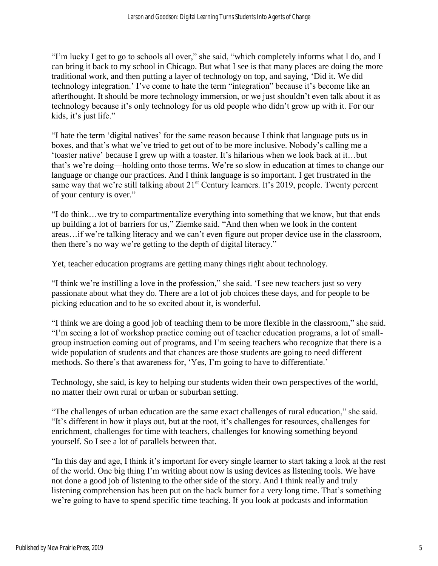"I'm lucky I get to go to schools all over," she said, "which completely informs what I do, and I can bring it back to my school in Chicago. But what I see is that many places are doing the more traditional work, and then putting a layer of technology on top, and saying, 'Did it. We did technology integration.' I've come to hate the term "integration" because it's become like an afterthought. It should be more technology immersion, or we just shouldn't even talk about it as technology because it's only technology for us old people who didn't grow up with it. For our kids, it's just life."

"I hate the term 'digital natives' for the same reason because I think that language puts us in boxes, and that's what we've tried to get out of to be more inclusive. Nobody's calling me a 'toaster native' because I grew up with a toaster. It's hilarious when we look back at it…but that's we're doing—holding onto those terms. We're so slow in education at times to change our language or change our practices. And I think language is so important. I get frustrated in the same way that we're still talking about 21<sup>st</sup> Century learners. It's 2019, people. Twenty percent of your century is over."

"I do think…we try to compartmentalize everything into something that we know, but that ends up building a lot of barriers for us," Ziemke said. "And then when we look in the content areas…if we're talking literacy and we can't even figure out proper device use in the classroom, then there's no way we're getting to the depth of digital literacy."

Yet, teacher education programs are getting many things right about technology.

"I think we're instilling a love in the profession," she said. 'I see new teachers just so very passionate about what they do. There are a lot of job choices these days, and for people to be picking education and to be so excited about it, is wonderful.

"I think we are doing a good job of teaching them to be more flexible in the classroom," she said. "I'm seeing a lot of workshop practice coming out of teacher education programs, a lot of smallgroup instruction coming out of programs, and I'm seeing teachers who recognize that there is a wide population of students and that chances are those students are going to need different methods. So there's that awareness for, 'Yes, I'm going to have to differentiate.'

Technology, she said, is key to helping our students widen their own perspectives of the world, no matter their own rural or urban or suburban setting.

"The challenges of urban education are the same exact challenges of rural education," she said. "It's different in how it plays out, but at the root, it's challenges for resources, challenges for enrichment, challenges for time with teachers, challenges for knowing something beyond yourself. So I see a lot of parallels between that.

"In this day and age, I think it's important for every single learner to start taking a look at the rest of the world. One big thing I'm writing about now is using devices as listening tools. We have not done a good job of listening to the other side of the story. And I think really and truly listening comprehension has been put on the back burner for a very long time. That's something we're going to have to spend specific time teaching. If you look at podcasts and information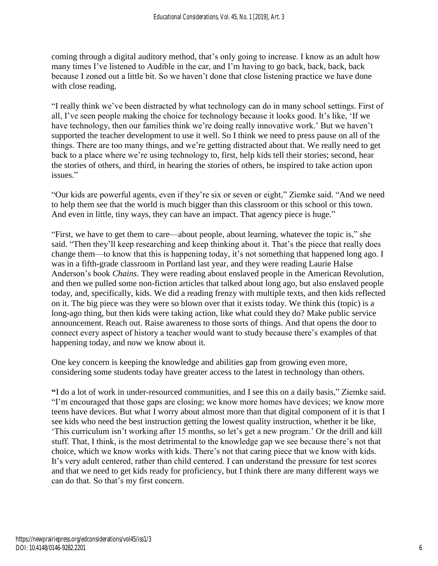coming through a digital auditory method, that's only going to increase. I know as an adult how many times I've listened to Audible in the car, and I'm having to go back, back, back, back because I zoned out a little bit. So we haven't done that close listening practice we have done with close reading.

"I really think we've been distracted by what technology can do in many school settings. First of all, I've seen people making the choice for technology because it looks good. It's like, 'If we have technology, then our families think we're doing really innovative work.' But we haven't supported the teacher development to use it well. So I think we need to press pause on all of the things. There are too many things, and we're getting distracted about that. We really need to get back to a place where we're using technology to, first, help kids tell their stories; second, hear the stories of others, and third, in hearing the stories of others, be inspired to take action upon issues."

"Our kids are powerful agents, even if they're six or seven or eight," Ziemke said. "And we need to help them see that the world is much bigger than this classroom or this school or this town. And even in little, tiny ways, they can have an impact. That agency piece is huge."

"First, we have to get them to care—about people, about learning, whatever the topic is," she said. "Then they'll keep researching and keep thinking about it. That's the piece that really does change them—to know that this is happening today, it's not something that happened long ago. I was in a fifth-grade classroom in Portland last year, and they were reading Laurie Halse Anderson's book *Chains*. They were reading about enslaved people in the American Revolution, and then we pulled some non-fiction articles that talked about long ago, but also enslaved people today, and, specifically, kids. We did a reading frenzy with multiple texts, and then kids reflected on it. The big piece was they were so blown over that it exists today. We think this (topic) is a long-ago thing, but then kids were taking action, like what could they do? Make public service announcement. Reach out. Raise awareness to those sorts of things. And that opens the door to connect every aspect of history a teacher would want to study because there's examples of that happening today, and now we know about it.

One key concern is keeping the knowledge and abilities gap from growing even more, considering some students today have greater access to the latest in technology than others.

**"**I do a lot of work in under-resourced communities, and I see this on a daily basis," Ziemke said. "I'm encouraged that those gaps are closing; we know more homes have devices; we know more teens have devices. But what I worry about almost more than that digital component of it is that I see kids who need the best instruction getting the lowest quality instruction, whether it be like, 'This curriculum isn't working after 15 months, so let's get a new program.' Or the drill and kill stuff. That, I think, is the most detrimental to the knowledge gap we see because there's not that choice, which we know works with kids. There's not that caring piece that we know with kids. It's very adult centered, rather than child centered. I can understand the pressure for test scores and that we need to get kids ready for proficiency, but I think there are many different ways we can do that. So that's my first concern.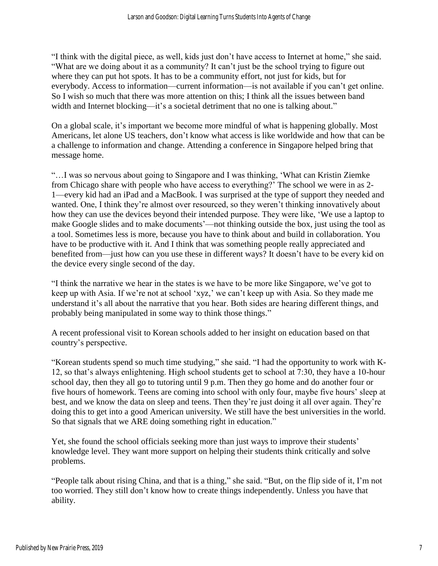"I think with the digital piece, as well, kids just don't have access to Internet at home," she said. "What are we doing about it as a community? It can't just be the school trying to figure out where they can put hot spots. It has to be a community effort, not just for kids, but for everybody. Access to information—current information—is not available if you can't get online. So I wish so much that there was more attention on this; I think all the issues between band width and Internet blocking—it's a societal detriment that no one is talking about."

On a global scale, it's important we become more mindful of what is happening globally. Most Americans, let alone US teachers, don't know what access is like worldwide and how that can be a challenge to information and change. Attending a conference in Singapore helped bring that message home.

"…I was so nervous about going to Singapore and I was thinking, 'What can Kristin Ziemke from Chicago share with people who have access to everything?' The school we were in as 2- 1—every kid had an iPad and a MacBook. I was surprised at the type of support they needed and wanted. One, I think they're almost over resourced, so they weren't thinking innovatively about how they can use the devices beyond their intended purpose. They were like, 'We use a laptop to make Google slides and to make documents'—not thinking outside the box, just using the tool as a tool. Sometimes less is more, because you have to think about and build in collaboration. You have to be productive with it. And I think that was something people really appreciated and benefited from—just how can you use these in different ways? It doesn't have to be every kid on the device every single second of the day.

"I think the narrative we hear in the states is we have to be more like Singapore, we've got to keep up with Asia. If we're not at school 'xyz,' we can't keep up with Asia. So they made me understand it's all about the narrative that you hear. Both sides are hearing different things, and probably being manipulated in some way to think those things."

A recent professional visit to Korean schools added to her insight on education based on that country's perspective.

"Korean students spend so much time studying," she said. "I had the opportunity to work with K-12, so that's always enlightening. High school students get to school at 7:30, they have a 10-hour school day, then they all go to tutoring until 9 p.m. Then they go home and do another four or five hours of homework. Teens are coming into school with only four, maybe five hours' sleep at best, and we know the data on sleep and teens. Then they're just doing it all over again. They're doing this to get into a good American university. We still have the best universities in the world. So that signals that we ARE doing something right in education."

Yet, she found the school officials seeking more than just ways to improve their students' knowledge level. They want more support on helping their students think critically and solve problems.

"People talk about rising China, and that is a thing," she said. "But, on the flip side of it, I'm not too worried. They still don't know how to create things independently. Unless you have that ability.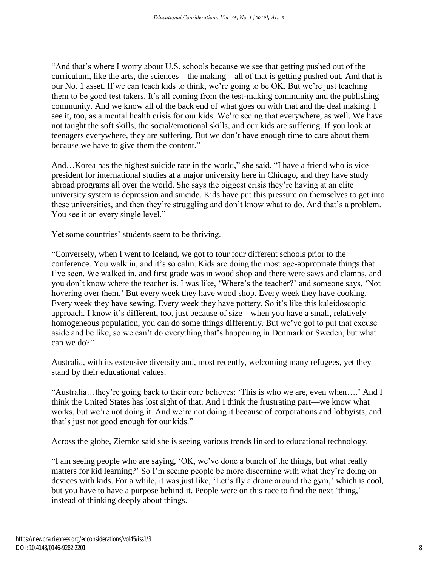"And that's where I worry about U.S. schools because we see that getting pushed out of the curriculum, like the arts, the sciences—the making—all of that is getting pushed out. And that is our No. 1 asset. If we can teach kids to think, we're going to be OK. But we're just teaching them to be good test takers. It's all coming from the test-making community and the publishing community. And we know all of the back end of what goes on with that and the deal making. I see it, too, as a mental health crisis for our kids. We're seeing that everywhere, as well. We have not taught the soft skills, the social/emotional skills, and our kids are suffering. If you look at teenagers everywhere, they are suffering. But we don't have enough time to care about them because we have to give them the content."

And…Korea has the highest suicide rate in the world," she said. "I have a friend who is vice president for international studies at a major university here in Chicago, and they have study abroad programs all over the world. She says the biggest crisis they're having at an elite university system is depression and suicide. Kids have put this pressure on themselves to get into these universities, and then they're struggling and don't know what to do. And that's a problem. You see it on every single level."

Yet some countries' students seem to be thriving.

"Conversely, when I went to Iceland, we got to tour four different schools prior to the conference. You walk in, and it's so calm. Kids are doing the most age-appropriate things that I've seen. We walked in, and first grade was in wood shop and there were saws and clamps, and you don't know where the teacher is. I was like, 'Where's the teacher?' and someone says, 'Not hovering over them.' But every week they have wood shop. Every week they have cooking. Every week they have sewing. Every week they have pottery. So it's like this kaleidoscopic approach. I know it's different, too, just because of size—when you have a small, relatively homogeneous population, you can do some things differently. But we've got to put that excuse aside and be like, so we can't do everything that's happening in Denmark or Sweden, but what can we do?"

Australia, with its extensive diversity and, most recently, welcoming many refugees, yet they stand by their educational values.

"Australia…they're going back to their core believes: 'This is who we are, even when….' And I think the United States has lost sight of that. And I think the frustrating part—we know what works, but we're not doing it. And we're not doing it because of corporations and lobbyists, and that's just not good enough for our kids."

Across the globe, Ziemke said she is seeing various trends linked to educational technology.

"I am seeing people who are saying, 'OK, we've done a bunch of the things, but what really matters for kid learning?' So I'm seeing people be more discerning with what they're doing on devices with kids. For a while, it was just like, 'Let's fly a drone around the gym,' which is cool, but you have to have a purpose behind it. People were on this race to find the next 'thing,' instead of thinking deeply about things.